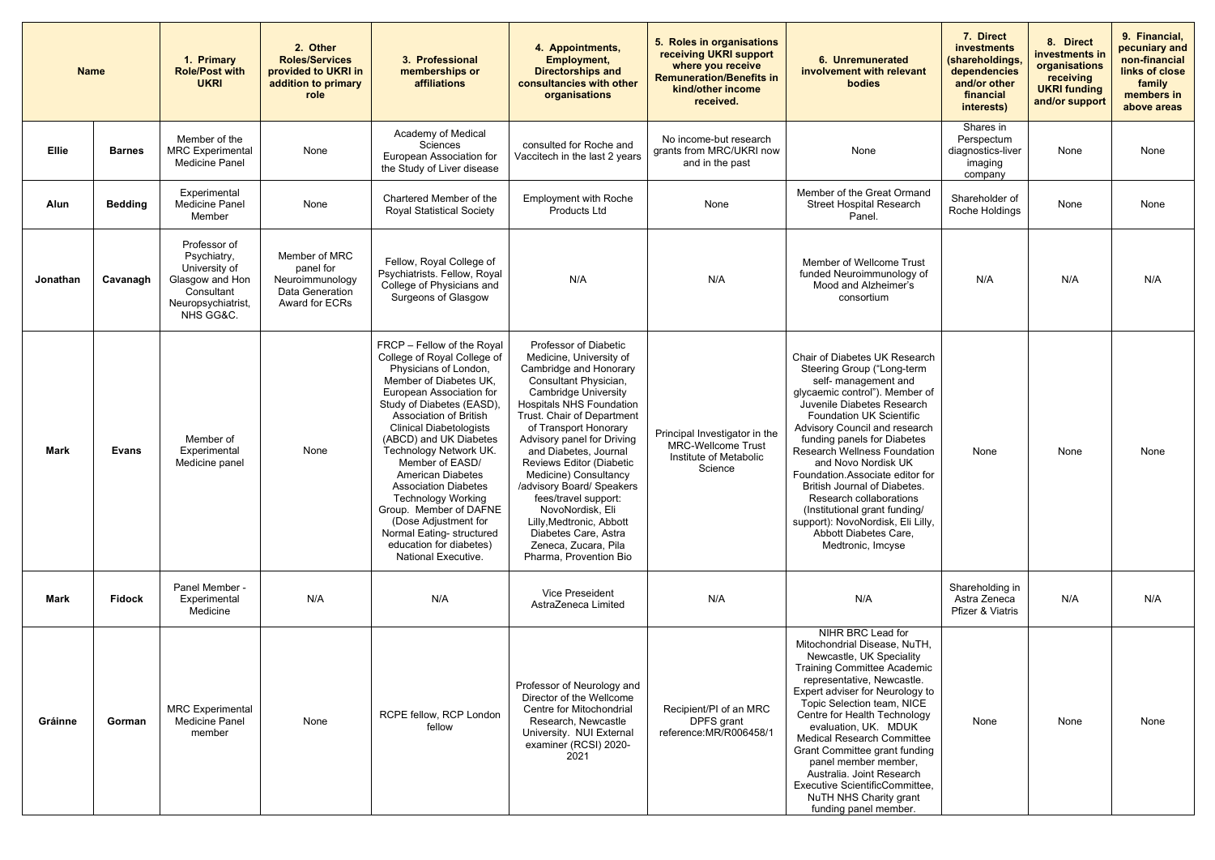| <b>Name</b>  |                | 1. Primary<br><b>Role/Post with</b><br><b>UKRI</b>                                                               | 2. Other<br><b>Roles/Services</b><br>provided to UKRI in<br>addition to primary<br>role | 3. Professional<br>memberships or<br><b>affiliations</b>                                                                                                                                                                                                                                                                                                                                                                                                                                                                          | 4. Appointments,<br><b>Employment,</b><br><b>Directorships and</b><br>consultancies with other<br>organisations                                                                                                                                                                                                                                                                                                                                                                                                         | 5. Roles in organisations<br>receiving UKRI support<br>where you receive<br><b>Remuneration/Benefits in</b><br>kind/other income<br>received. | 6. Unremunerated<br>involvement with relevant<br>bodies                                                                                                                                                                                                                                                                                                                                                                                                                                                                                | 7. Direct<br>investments<br>(shareholdings,<br>dependencies<br>and/or other<br>financial<br>interests) | 8. Direct<br>investments in<br>organisations<br>receiving<br><b>UKRI</b> funding<br>and/or support | 9. Financial,<br>pecuniary and<br>non-financial<br>links of close<br>family<br>members in<br>above areas |
|--------------|----------------|------------------------------------------------------------------------------------------------------------------|-----------------------------------------------------------------------------------------|-----------------------------------------------------------------------------------------------------------------------------------------------------------------------------------------------------------------------------------------------------------------------------------------------------------------------------------------------------------------------------------------------------------------------------------------------------------------------------------------------------------------------------------|-------------------------------------------------------------------------------------------------------------------------------------------------------------------------------------------------------------------------------------------------------------------------------------------------------------------------------------------------------------------------------------------------------------------------------------------------------------------------------------------------------------------------|-----------------------------------------------------------------------------------------------------------------------------------------------|----------------------------------------------------------------------------------------------------------------------------------------------------------------------------------------------------------------------------------------------------------------------------------------------------------------------------------------------------------------------------------------------------------------------------------------------------------------------------------------------------------------------------------------|--------------------------------------------------------------------------------------------------------|----------------------------------------------------------------------------------------------------|----------------------------------------------------------------------------------------------------------|
| <b>Ellie</b> | <b>Barnes</b>  | Member of the<br><b>MRC</b> Experimental<br><b>Medicine Panel</b>                                                | None                                                                                    | Academy of Medical<br>Sciences<br>European Association for<br>the Study of Liver disease                                                                                                                                                                                                                                                                                                                                                                                                                                          | consulted for Roche and<br>Vaccitech in the last 2 years                                                                                                                                                                                                                                                                                                                                                                                                                                                                | No income-but research<br>grants from MRC/UKRI now<br>and in the past                                                                         | None                                                                                                                                                                                                                                                                                                                                                                                                                                                                                                                                   | Shares in<br>Perspectum<br>diagnostics-liver<br>imaging<br>company                                     | None                                                                                               | None                                                                                                     |
| Alun         | <b>Bedding</b> | Experimental<br><b>Medicine Panel</b><br>Member                                                                  | None                                                                                    | Chartered Member of the<br><b>Royal Statistical Society</b>                                                                                                                                                                                                                                                                                                                                                                                                                                                                       | <b>Employment with Roche</b><br>Products Ltd                                                                                                                                                                                                                                                                                                                                                                                                                                                                            | None                                                                                                                                          | Member of the Great Ormand<br><b>Street Hospital Research</b><br>Panel.                                                                                                                                                                                                                                                                                                                                                                                                                                                                | Shareholder of<br>Roche Holdings                                                                       | None                                                                                               | None                                                                                                     |
| Jonathan     | Cavanagh       | Professor of<br>Psychiatry,<br>University of<br>Glasgow and Hon<br>Consultant<br>Neuropsychiatrist,<br>NHS GG&C. | Member of MRC<br>panel for<br>Neuroimmunology<br>Data Generation<br>Award for ECRs      | Fellow, Royal College of<br>Psychiatrists. Fellow, Royal<br>College of Physicians and<br>Surgeons of Glasgow                                                                                                                                                                                                                                                                                                                                                                                                                      | N/A                                                                                                                                                                                                                                                                                                                                                                                                                                                                                                                     | N/A                                                                                                                                           | Member of Wellcome Trust<br>funded Neuroimmunology of<br>Mood and Alzheimer's<br>consortium                                                                                                                                                                                                                                                                                                                                                                                                                                            | N/A                                                                                                    | N/A                                                                                                | N/A                                                                                                      |
| <b>Mark</b>  | <b>Evans</b>   | Member of<br>Experimental<br>Medicine panel                                                                      | None                                                                                    | FRCP - Fellow of the Royal<br>College of Royal College of<br>Physicians of London,<br>Member of Diabetes UK,<br>European Association for<br>Study of Diabetes (EASD),<br>Association of British<br><b>Clinical Diabetologists</b><br>(ABCD) and UK Diabetes<br>Technology Network UK.<br>Member of EASD/<br><b>American Diabetes</b><br><b>Association Diabetes</b><br><b>Technology Working</b><br>Group. Member of DAFNE<br>(Dose Adjustment for<br>Normal Eating- structured<br>education for diabetes)<br>National Executive. | Professor of Diabetic<br>Medicine, University of<br>Cambridge and Honorary<br>Consultant Physician,<br><b>Cambridge University</b><br><b>Hospitals NHS Foundation</b><br>Trust. Chair of Department<br>of Transport Honorary<br>Advisory panel for Driving<br>and Diabetes, Journal<br>Reviews Editor (Diabetic<br>Medicine) Consultancy<br>/advisory Board/ Speakers<br>fees/travel support:<br>NovoNordisk, Eli<br>Lilly, Medtronic, Abbott<br>Diabetes Care, Astra<br>Zeneca, Zucara, Pila<br>Pharma, Provention Bio | Principal Investigator in the<br><b>MRC-Wellcome Trust</b><br>Institute of Metabolic<br>Science                                               | Chair of Diabetes UK Research<br>Steering Group ("Long-term<br>self- management and<br>glycaemic control"). Member of<br>Juvenile Diabetes Research<br><b>Foundation UK Scientific</b><br>Advisory Council and research<br>funding panels for Diabetes<br><b>Research Wellness Foundation</b><br>and Novo Nordisk UK<br>Foundation.Associate editor for<br>British Journal of Diabetes.<br>Research collaborations<br>(Institutional grant funding/<br>support): NovoNordisk, Eli Lilly,<br>Abbott Diabetes Care,<br>Medtronic, Imcyse | None                                                                                                   | None                                                                                               | None                                                                                                     |
| <b>Mark</b>  | <b>Fidock</b>  | Panel Member -<br>Experimental<br>Medicine                                                                       | N/A                                                                                     | N/A                                                                                                                                                                                                                                                                                                                                                                                                                                                                                                                               | Vice Preseident<br>AstraZeneca Limited                                                                                                                                                                                                                                                                                                                                                                                                                                                                                  | N/A                                                                                                                                           | N/A                                                                                                                                                                                                                                                                                                                                                                                                                                                                                                                                    | Shareholding in<br>Astra Zeneca<br>Pfizer & Viatris                                                    | N/A                                                                                                | N/A                                                                                                      |
| Gráinne      | Gorman         | <b>MRC</b> Experimental<br><b>Medicine Panel</b><br>member                                                       | None                                                                                    | RCPE fellow, RCP London<br>fellow                                                                                                                                                                                                                                                                                                                                                                                                                                                                                                 | Professor of Neurology and<br>Director of the Wellcome<br>Centre for Mitochondrial<br>Research, Newcastle<br>University. NUI External<br>examiner (RCSI) 2020-<br>2021                                                                                                                                                                                                                                                                                                                                                  | Recipient/PI of an MRC<br>DPFS grant<br>reference: MR/R006458/1                                                                               | NIHR BRC Lead for<br>Mitochondrial Disease, NuTH,<br>Newcastle, UK Speciality<br><b>Training Committee Academic</b><br>representative, Newcastle.<br>Expert adviser for Neurology to<br>Topic Selection team, NICE<br>Centre for Health Technology<br>evaluation, UK. MDUK<br><b>Medical Research Committee</b><br>Grant Committee grant funding<br>panel member member,<br>Australia. Joint Research<br>Executive ScientificCommittee,<br><b>NuTH NHS Charity grant</b><br>funding panel member.                                      | None                                                                                                   | None                                                                                               | None                                                                                                     |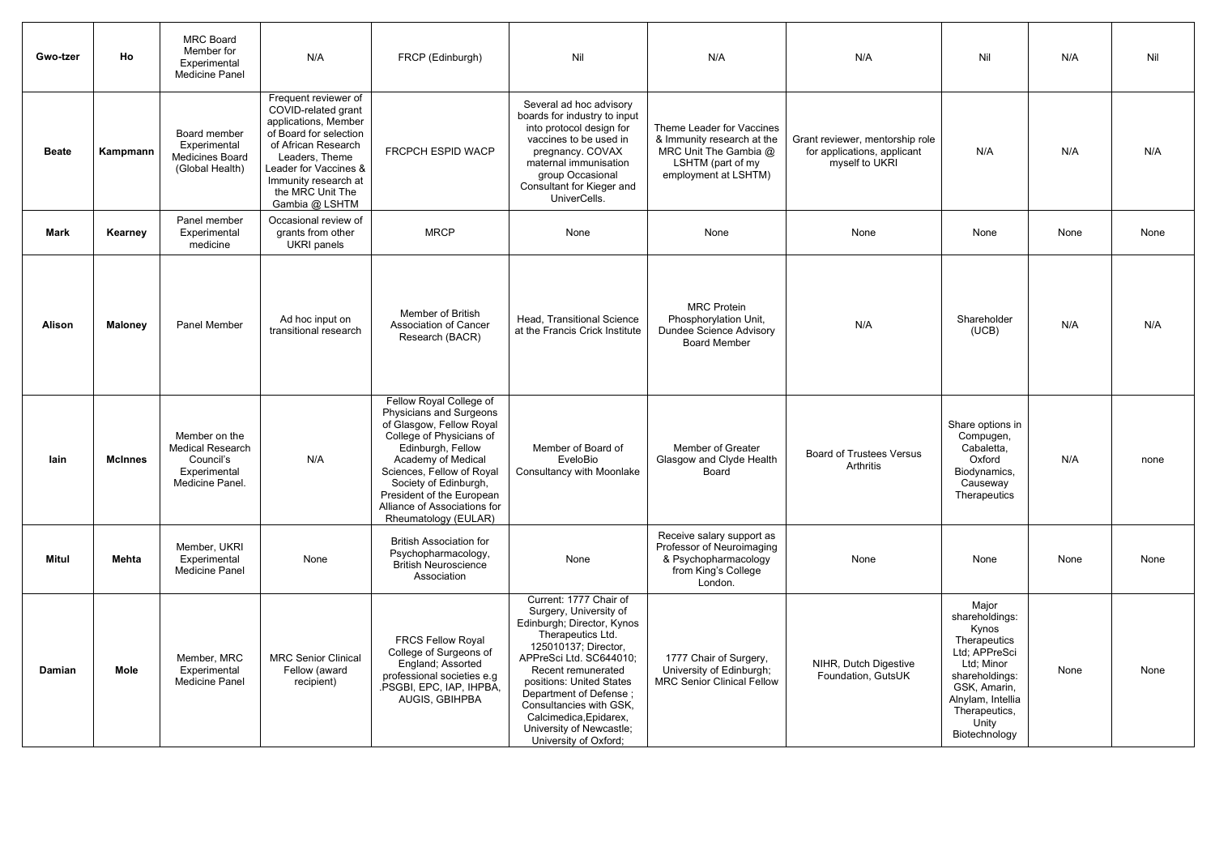| <b>Gwo-tzer</b> | Ho             | <b>MRC Board</b><br>Member for<br>Experimental<br><b>Medicine Panel</b>                  | N/A                                                                                                                                                                                                                           | FRCP (Edinburgh)                                                                                                                                                                                                                                                                                 | Nil                                                                                                                                                                                                                                                                                                                                          | N/A                                                                                                                           | N/A                                                                              | Nil                                                                                                                                                                               | N/A  | Nil  |
|-----------------|----------------|------------------------------------------------------------------------------------------|-------------------------------------------------------------------------------------------------------------------------------------------------------------------------------------------------------------------------------|--------------------------------------------------------------------------------------------------------------------------------------------------------------------------------------------------------------------------------------------------------------------------------------------------|----------------------------------------------------------------------------------------------------------------------------------------------------------------------------------------------------------------------------------------------------------------------------------------------------------------------------------------------|-------------------------------------------------------------------------------------------------------------------------------|----------------------------------------------------------------------------------|-----------------------------------------------------------------------------------------------------------------------------------------------------------------------------------|------|------|
| <b>Beate</b>    | Kampmann       | Board member<br>Experimental<br><b>Medicines Board</b><br>(Global Health)                | Frequent reviewer of<br>COVID-related grant<br>applications, Member<br>of Board for selection<br>of African Research<br>Leaders, Theme<br>Leader for Vaccines &<br>Immunity research at<br>the MRC Unit The<br>Gambia @ LSHTM | FRCPCH ESPID WACP                                                                                                                                                                                                                                                                                | Several ad hoc advisory<br>boards for industry to input<br>into protocol design for<br>vaccines to be used in<br>pregnancy. COVAX<br>maternal immunisation<br>group Occasional<br>Consultant for Kieger and<br>UniverCells.                                                                                                                  | Theme Leader for Vaccines<br>& Immunity research at the<br>MRC Unit The Gambia @<br>LSHTM (part of my<br>employment at LSHTM) | Grant reviewer, mentorship role<br>for applications, applicant<br>myself to UKRI | N/A                                                                                                                                                                               | N/A  | N/A  |
| <b>Mark</b>     | Kearney        | Panel member<br>Experimental<br>medicine                                                 | Occasional review of<br>grants from other<br><b>UKRI</b> panels                                                                                                                                                               | <b>MRCP</b>                                                                                                                                                                                                                                                                                      | None                                                                                                                                                                                                                                                                                                                                         | None                                                                                                                          | None                                                                             | None                                                                                                                                                                              | None | None |
| <b>Alison</b>   | <b>Maloney</b> | <b>Panel Member</b>                                                                      | Ad hoc input on<br>transitional research                                                                                                                                                                                      | <b>Member of British</b><br><b>Association of Cancer</b><br>Research (BACR)                                                                                                                                                                                                                      | Head, Transitional Science<br>at the Francis Crick Institute                                                                                                                                                                                                                                                                                 | <b>MRC Protein</b><br>Phosphorylation Unit,<br><b>Dundee Science Advisory</b><br><b>Board Member</b>                          | N/A                                                                              | Shareholder<br>(UCB)                                                                                                                                                              | N/A  | N/A  |
| lain            | <b>McInnes</b> | Member on the<br><b>Medical Research</b><br>Council's<br>Experimental<br>Medicine Panel. | N/A                                                                                                                                                                                                                           | Fellow Royal College of<br>Physicians and Surgeons<br>of Glasgow, Fellow Royal<br>College of Physicians of<br>Edinburgh, Fellow<br>Academy of Medical<br>Sciences, Fellow of Royal<br>Society of Edinburgh,<br>President of the European<br>Alliance of Associations for<br>Rheumatology (EULAR) | Member of Board of<br>EveloBio<br>Consultancy with Moonlake                                                                                                                                                                                                                                                                                  | Member of Greater<br>Glasgow and Clyde Health<br>Board                                                                        | <b>Board of Trustees Versus</b><br>Arthritis                                     | Share options in<br>Compugen,<br>Cabaletta,<br>Oxford<br>Biodynamics,<br>Causeway<br>Therapeutics                                                                                 | N/A  | none |
| <b>Mitul</b>    | <b>Mehta</b>   | Member, UKRI<br>Experimental<br>Medicine Panel                                           | None                                                                                                                                                                                                                          | <b>British Association for</b><br>Psychopharmacology,<br><b>British Neuroscience</b><br>Association                                                                                                                                                                                              | None                                                                                                                                                                                                                                                                                                                                         | Receive salary support as<br>Professor of Neuroimaging<br>& Psychopharmacology<br>from King's College<br>London.              | None                                                                             | None                                                                                                                                                                              | None | None |
| Damian          | <b>Mole</b>    | Member, MRC<br>Experimental<br>Medicine Panel                                            | <b>MRC Senior Clinical</b><br>Fellow (award<br>recipient)                                                                                                                                                                     | <b>FRCS Fellow Royal</b><br>College of Surgeons of<br>England; Assorted<br>professional societies e.g<br>.PSGBI, EPC, IAP, IHPBA,<br>AUGIS, GBIHPBA                                                                                                                                              | Current: 1777 Chair of<br>Surgery, University of<br>Edinburgh; Director, Kynos<br>Therapeutics Ltd.<br>125010137; Director,<br>APPreSci Ltd. SC644010;<br>Recent remunerated<br>positions: United States<br>Department of Defense;<br>Consultancies with GSK,<br>Calcimedica, Epidarex,<br>University of Newcastle;<br>University of Oxford; | 1777 Chair of Surgery,<br>University of Edinburgh;<br><b>MRC Senior Clinical Fellow</b>                                       | NIHR, Dutch Digestive<br>Foundation, GutsUK                                      | Major<br>shareholdings:<br>Kynos<br>Therapeutics<br>Ltd; APPreSci<br>Ltd; Minor<br>shareholdings:<br>GSK, Amarin,<br>Alnylam, Intellia<br>Therapeutics,<br>Unity<br>Biotechnology | None | None |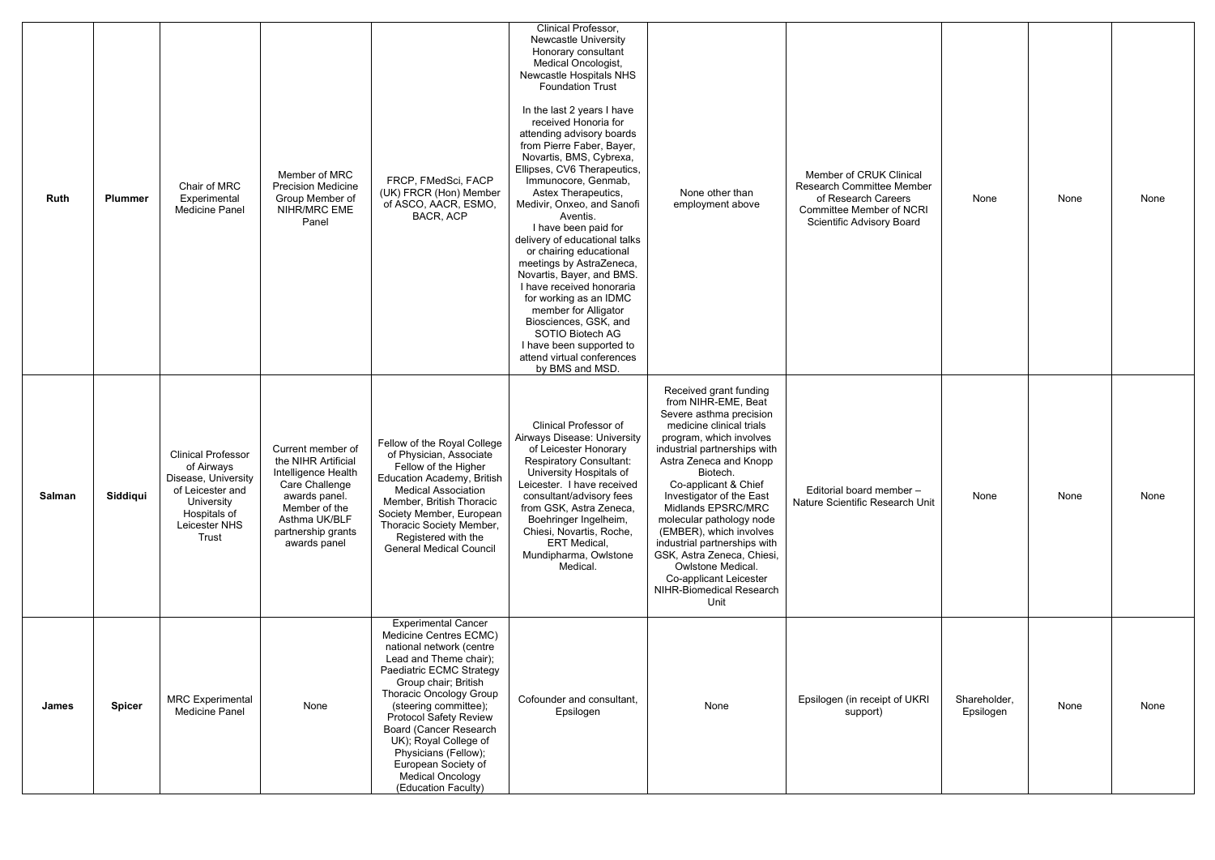| <b>Ruth</b>   | <b>Plummer</b> | Chair of MRC<br>Experimental<br><b>Medicine Panel</b>                                                                                      | Member of MRC<br><b>Precision Medicine</b><br>Group Member of<br>NIHR/MRC EME<br>Panel                                                                                     | FRCP, FMedSci, FACP<br>(UK) FRCR (Hon) Member<br>of ASCO, AACR, ESMO,<br>BACR, ACP                                                                                                                                                                                                                                                                                                                      | Clinical Professor,<br><b>Newcastle University</b><br>Honorary consultant<br>Medical Oncologist,<br>Newcastle Hospitals NHS<br><b>Foundation Trust</b><br>In the last 2 years I have<br>received Honoria for<br>attending advisory boards<br>from Pierre Faber, Bayer,<br>Novartis, BMS, Cybrexa,<br>Ellipses, CV6 Therapeutics,<br>Immunocore, Genmab,<br>Astex Therapeutics,<br>Medivir, Onxeo, and Sanofi<br>Aventis.<br>I have been paid for<br>delivery of educational talks<br>or chairing educational<br>meetings by AstraZeneca,<br>Novartis, Bayer, and BMS.<br>I have received honoraria<br>for working as an IDMC<br>member for Alligator<br>Biosciences, GSK, and<br>SOTIO Biotech AG<br>I have been supported to<br>attend virtual conferences<br>by BMS and MSD. | None other than<br>employment above                                                                                                                                                                                                                                                                                                                                                                                                                                                     | Member of CRUK Clinical<br>Research Committee Member<br>of Research Careers<br><b>Committee Member of NCRI</b><br>Scientific Advisory Board | None                      | None | None |
|---------------|----------------|--------------------------------------------------------------------------------------------------------------------------------------------|----------------------------------------------------------------------------------------------------------------------------------------------------------------------------|---------------------------------------------------------------------------------------------------------------------------------------------------------------------------------------------------------------------------------------------------------------------------------------------------------------------------------------------------------------------------------------------------------|--------------------------------------------------------------------------------------------------------------------------------------------------------------------------------------------------------------------------------------------------------------------------------------------------------------------------------------------------------------------------------------------------------------------------------------------------------------------------------------------------------------------------------------------------------------------------------------------------------------------------------------------------------------------------------------------------------------------------------------------------------------------------------|-----------------------------------------------------------------------------------------------------------------------------------------------------------------------------------------------------------------------------------------------------------------------------------------------------------------------------------------------------------------------------------------------------------------------------------------------------------------------------------------|---------------------------------------------------------------------------------------------------------------------------------------------|---------------------------|------|------|
| <b>Salman</b> | Siddiqui       | <b>Clinical Professor</b><br>of Airways<br>Disease, University<br>of Leicester and<br>University<br>Hospitals of<br>Leicester NHS<br>Trust | Current member of<br>the NIHR Artificial<br>Intelligence Health<br>Care Challenge<br>awards panel.<br>Member of the<br>Asthma UK/BLF<br>partnership grants<br>awards panel | Fellow of the Royal College<br>of Physician, Associate<br>Fellow of the Higher<br><b>Education Academy, British</b><br><b>Medical Association</b><br>Member, British Thoracic<br>Society Member, European<br>Thoracic Society Member,<br>Registered with the<br><b>General Medical Council</b>                                                                                                          | <b>Clinical Professor of</b><br>Airways Disease: University<br>of Leicester Honorary<br><b>Respiratory Consultant:</b><br>University Hospitals of<br>Leicester. I have received<br>consultant/advisory fees<br>from GSK, Astra Zeneca,<br>Boehringer Ingelheim,<br>Chiesi, Novartis, Roche,<br><b>ERT</b> Medical,<br>Mundipharma, Owlstone<br>Medical.                                                                                                                                                                                                                                                                                                                                                                                                                        | Received grant funding<br>from NIHR-EME, Beat<br>Severe asthma precision<br>medicine clinical trials<br>program, which involves<br>industrial partnerships with<br>Astra Zeneca and Knopp<br>Biotech.<br>Co-applicant & Chief<br>Investigator of the East<br>Midlands EPSRC/MRC<br>molecular pathology node<br>(EMBER), which involves<br>industrial partnerships with<br>GSK, Astra Zeneca, Chiesi,<br>Owlstone Medical.<br>Co-applicant Leicester<br>NIHR-Biomedical Research<br>Unit | Editorial board member -<br>Nature Scientific Research Unit                                                                                 | None                      | None | None |
| James         | <b>Spicer</b>  | <b>MRC</b> Experimental<br><b>Medicine Panel</b>                                                                                           | None                                                                                                                                                                       | <b>Experimental Cancer</b><br>Medicine Centres ECMC)<br>national network (centre<br>Lead and Theme chair);<br>Paediatric ECMC Strategy<br>Group chair; British<br>Thoracic Oncology Group<br>(steering committee);<br><b>Protocol Safety Review</b><br>Board (Cancer Research<br>UK); Royal College of<br>Physicians (Fellow);<br>European Society of<br><b>Medical Oncology</b><br>(Education Faculty) | Cofounder and consultant,<br>Epsilogen                                                                                                                                                                                                                                                                                                                                                                                                                                                                                                                                                                                                                                                                                                                                         | None                                                                                                                                                                                                                                                                                                                                                                                                                                                                                    | Epsilogen (in receipt of UKRI<br>support)                                                                                                   | Shareholder,<br>Epsilogen | None | None |